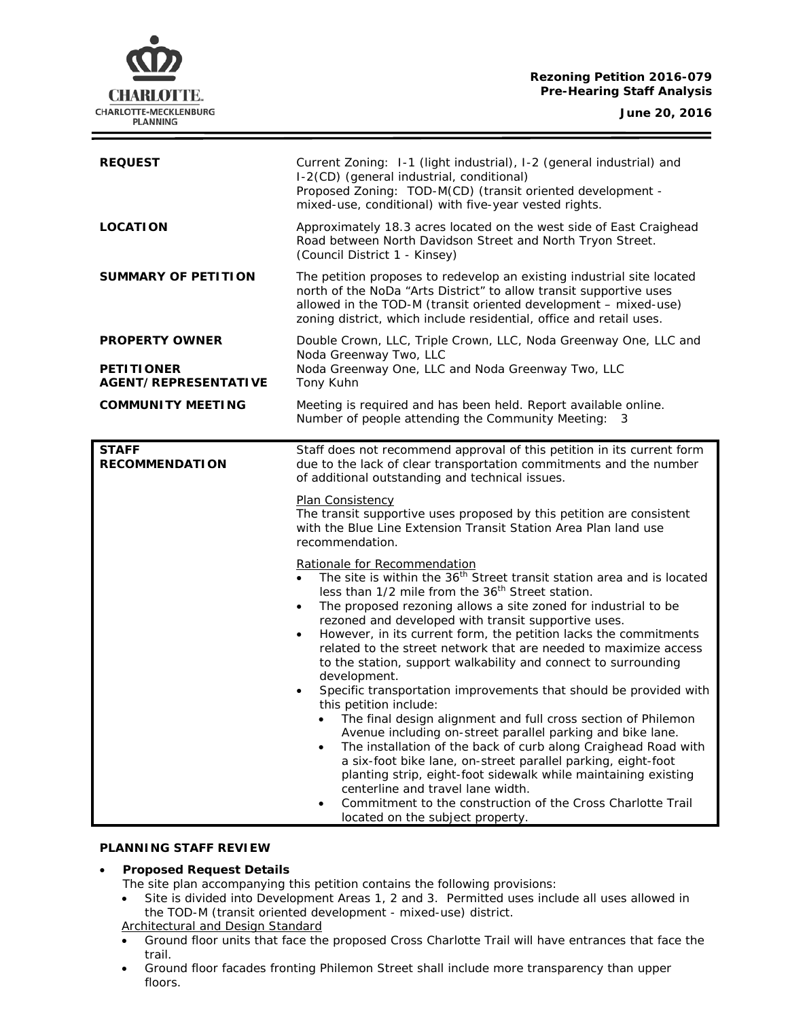# **Rezoning Petition 2016-079 Pre-Hearing Staff Analysis**

**CHARLOTTE.** CHARLOTTE-MECKLENBURG **PLANNING** 

| <b>REQUEST</b>                             | Current Zoning: 1-1 (light industrial), 1-2 (general industrial) and<br>I-2(CD) (general industrial, conditional)<br>Proposed Zoning: TOD-M(CD) (transit oriented development -<br>mixed-use, conditional) with five-year vested rights.                                                                                                                                                                                                                                                                                                                                                                                                                                                                                                                                                                                                                                                                                                                                                                                                                                                                                                                                                                                                                                                                                                                                                                                                                                                                          |
|--------------------------------------------|-------------------------------------------------------------------------------------------------------------------------------------------------------------------------------------------------------------------------------------------------------------------------------------------------------------------------------------------------------------------------------------------------------------------------------------------------------------------------------------------------------------------------------------------------------------------------------------------------------------------------------------------------------------------------------------------------------------------------------------------------------------------------------------------------------------------------------------------------------------------------------------------------------------------------------------------------------------------------------------------------------------------------------------------------------------------------------------------------------------------------------------------------------------------------------------------------------------------------------------------------------------------------------------------------------------------------------------------------------------------------------------------------------------------------------------------------------------------------------------------------------------------|
| <b>LOCATION</b>                            | Approximately 18.3 acres located on the west side of East Craighead<br>Road between North Davidson Street and North Tryon Street.<br>(Council District 1 - Kinsey)                                                                                                                                                                                                                                                                                                                                                                                                                                                                                                                                                                                                                                                                                                                                                                                                                                                                                                                                                                                                                                                                                                                                                                                                                                                                                                                                                |
| <b>SUMMARY OF PETITION</b>                 | The petition proposes to redevelop an existing industrial site located<br>north of the NoDa "Arts District" to allow transit supportive uses<br>allowed in the TOD-M (transit oriented development - mixed-use)<br>zoning district, which include residential, office and retail uses.                                                                                                                                                                                                                                                                                                                                                                                                                                                                                                                                                                                                                                                                                                                                                                                                                                                                                                                                                                                                                                                                                                                                                                                                                            |
| <b>PROPERTY OWNER</b><br><b>PETITIONER</b> | Double Crown, LLC, Triple Crown, LLC, Noda Greenway One, LLC and<br>Noda Greenway Two, LLC<br>Noda Greenway One, LLC and Noda Greenway Two, LLC                                                                                                                                                                                                                                                                                                                                                                                                                                                                                                                                                                                                                                                                                                                                                                                                                                                                                                                                                                                                                                                                                                                                                                                                                                                                                                                                                                   |
| <b>AGENT/REPRESENTATIVE</b>                | Tony Kuhn                                                                                                                                                                                                                                                                                                                                                                                                                                                                                                                                                                                                                                                                                                                                                                                                                                                                                                                                                                                                                                                                                                                                                                                                                                                                                                                                                                                                                                                                                                         |
| <b>COMMUNITY MEETING</b>                   | Meeting is required and has been held. Report available online.<br>Number of people attending the Community Meeting:<br>- 3                                                                                                                                                                                                                                                                                                                                                                                                                                                                                                                                                                                                                                                                                                                                                                                                                                                                                                                                                                                                                                                                                                                                                                                                                                                                                                                                                                                       |
| <b>STAFF</b><br><b>RECOMMENDATION</b>      | Staff does not recommend approval of this petition in its current form<br>due to the lack of clear transportation commitments and the number<br>of additional outstanding and technical issues.<br>Plan Consistency<br>The transit supportive uses proposed by this petition are consistent<br>with the Blue Line Extension Transit Station Area Plan land use<br>recommendation.<br>Rationale for Recommendation<br>The site is within the 36 <sup>th</sup> Street transit station area and is located<br>less than 1/2 mile from the 36 <sup>th</sup> Street station.<br>The proposed rezoning allows a site zoned for industrial to be<br>rezoned and developed with transit supportive uses.<br>However, in its current form, the petition lacks the commitments<br>related to the street network that are needed to maximize access<br>to the station, support walkability and connect to surrounding<br>development.<br>Specific transportation improvements that should be provided with<br>this petition include:<br>The final design alignment and full cross section of Philemon<br>Avenue including on-street parallel parking and bike lane.<br>The installation of the back of curb along Craighead Road with<br>$\bullet$<br>a six-foot bike lane, on-street parallel parking, eight-foot<br>planting strip, eight-foot sidewalk while maintaining existing<br>centerline and travel lane width.<br>Commitment to the construction of the Cross Charlotte Trail<br>located on the subject property. |

#### **PLANNING STAFF REVIEW**

#### • **Proposed Request Details**

- The site plan accompanying this petition contains the following provisions:
- Site is divided into Development Areas 1, 2 and 3. Permitted uses include all uses allowed in the TOD-M (transit oriented development - mixed-use) district.
- Architectural and Design Standard
- Ground floor units that face the proposed Cross Charlotte Trail will have entrances that face the trail.
- Ground floor facades fronting Philemon Street shall include more transparency than upper floors.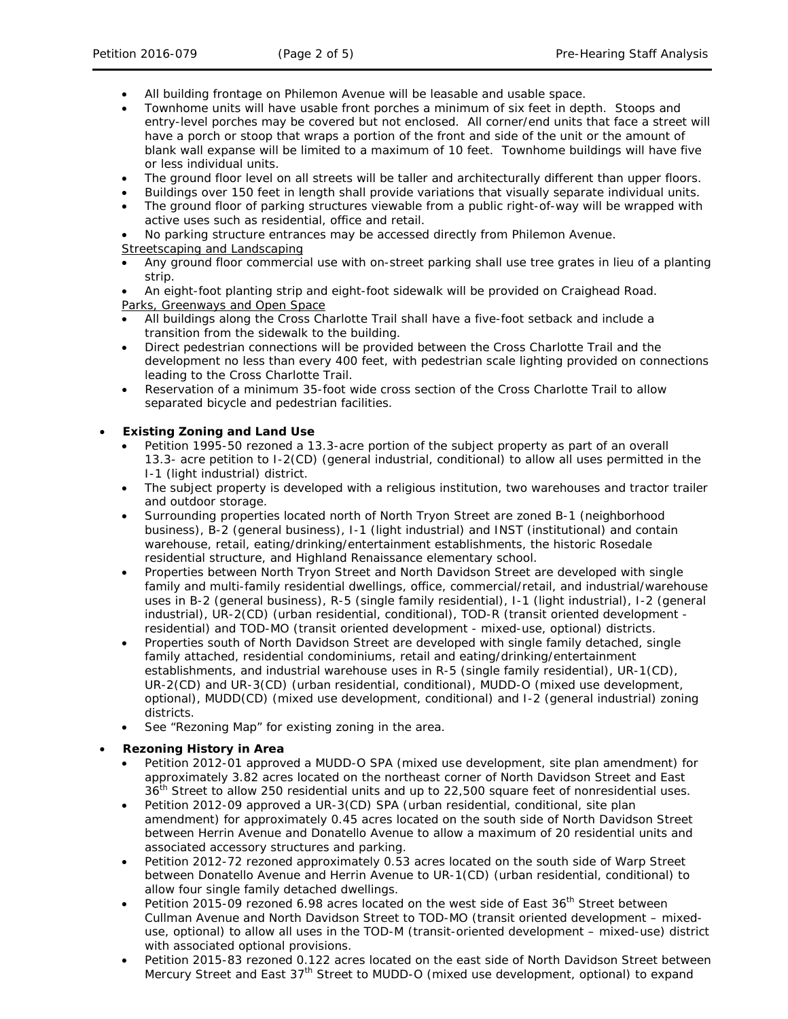- All building frontage on Philemon Avenue will be leasable and usable space.
- Townhome units will have usable front porches a minimum of six feet in depth. Stoops and entry-level porches may be covered but not enclosed. All corner/end units that face a street will have a porch or stoop that wraps a portion of the front and side of the unit or the amount of blank wall expanse will be limited to a maximum of 10 feet. Townhome buildings will have five or less individual units.
- The ground floor level on all streets will be taller and architecturally different than upper floors.
- Buildings over 150 feet in length shall provide variations that visually separate individual units.
- The ground floor of parking structures viewable from a public right-of-way will be wrapped with active uses such as residential, office and retail.
- No parking structure entrances may be accessed directly from Philemon Avenue.

#### Streetscaping and Landscaping

• Any ground floor commercial use with on-street parking shall use tree grates in lieu of a planting strip.

• An eight-foot planting strip and eight-foot sidewalk will be provided on Craighead Road. Parks, Greenways and Open Space

- All buildings along the Cross Charlotte Trail shall have a five-foot setback and include a transition from the sidewalk to the building.
- Direct pedestrian connections will be provided between the Cross Charlotte Trail and the development no less than every 400 feet, with pedestrian scale lighting provided on connections leading to the Cross Charlotte Trail.
- Reservation of a minimum 35-foot wide cross section of the Cross Charlotte Trail to allow separated bicycle and pedestrian facilities.

# • **Existing Zoning and Land Use**

- Petition 1995-50 rezoned a 13.3-acre portion of the subject property as part of an overall 13.3- acre petition to I-2(CD) (general industrial, conditional) to allow all uses permitted in the I-1 (light industrial) district.
- The subject property is developed with a religious institution, two warehouses and tractor trailer and outdoor storage.
- Surrounding properties located north of North Tryon Street are zoned B-1 (neighborhood business), B-2 (general business), I-1 (light industrial) and INST (institutional) and contain warehouse, retail, eating/drinking/entertainment establishments, the historic Rosedale residential structure, and Highland Renaissance elementary school.
- Properties between North Tryon Street and North Davidson Street are developed with single family and multi-family residential dwellings, office, commercial/retail, and industrial/warehouse uses in B-2 (general business), R-5 (single family residential), I-1 (light industrial), I-2 (general industrial), UR-2(CD) (urban residential, conditional), TOD-R (transit oriented development residential) and TOD-MO (transit oriented development - mixed-use, optional) districts.
- Properties south of North Davidson Street are developed with single family detached, single family attached, residential condominiums, retail and eating/drinking/entertainment establishments, and industrial warehouse uses in R-5 (single family residential), UR-1(CD), UR-2(CD) and UR-3(CD) (urban residential, conditional), MUDD-O (mixed use development, optional), MUDD(CD) (mixed use development, conditional) and I-2 (general industrial) zoning districts.
- See "Rezoning Map" for existing zoning in the area.

# • **Rezoning History in Area**

- Petition 2012-01 approved a MUDD-O SPA (mixed use development, site plan amendment) for approximately 3.82 acres located on the northeast corner of North Davidson Street and East 36<sup>th</sup> Street to allow 250 residential units and up to 22,500 square feet of nonresidential uses.
- Petition 2012-09 approved a UR-3(CD) SPA (urban residential, conditional, site plan amendment) for approximately 0.45 acres located on the south side of North Davidson Street between Herrin Avenue and Donatello Avenue to allow a maximum of 20 residential units and associated accessory structures and parking.
- Petition 2012-72 rezoned approximately 0.53 acres located on the south side of Warp Street between Donatello Avenue and Herrin Avenue to UR-1(CD) (urban residential, conditional) to allow four single family detached dwellings.
- Petition 2015-09 rezoned 6.98 acres located on the west side of East 36<sup>th</sup> Street between Cullman Avenue and North Davidson Street to TOD-MO (transit oriented development – mixeduse, optional) to allow all uses in the TOD-M (transit-oriented development – mixed-use) district with associated optional provisions.
- Petition 2015-83 rezoned 0.122 acres located on the east side of North Davidson Street between Mercury Street and East 37<sup>th</sup> Street to MUDD-O (mixed use development, optional) to expand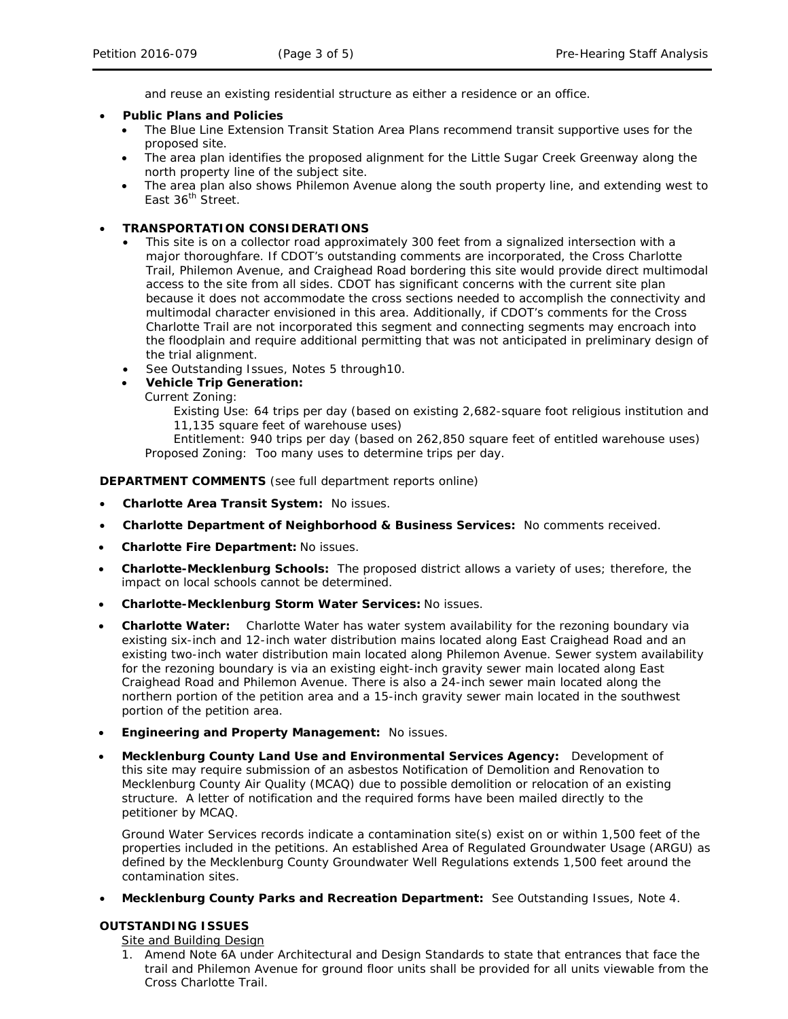and reuse an existing residential structure as either a residence or an office.

- **Public Plans and Policies**
	- The *Blue Line Extension Transit Station Area Plans* recommend transit supportive uses for the proposed site.
	- The area plan identifies the proposed alignment for the Little Sugar Creek Greenway along the north property line of the subject site.
	- The area plan also shows Philemon Avenue along the south property line, and extending west to East 36<sup>th</sup> Street.

# • **TRANSPORTATION CONSIDERATIONS**

- This site is on a collector road approximately 300 feet from a signalized intersection with a major thoroughfare. If CDOT's outstanding comments are incorporated, the Cross Charlotte Trail, Philemon Avenue, and Craighead Road bordering this site would provide direct multimodal access to the site from all sides. CDOT has significant concerns with the current site plan because it does not accommodate the cross sections needed to accomplish the connectivity and multimodal character envisioned in this area. Additionally, if CDOT's comments for the Cross Charlotte Trail are not incorporated this segment and connecting segments may encroach into the floodplain and require additional permitting that was not anticipated in preliminary design of the trial alignment.
- See Outstanding Issues, Notes 5 through 10.
- **Vehicle Trip Generation:**
	- Current Zoning:

Existing Use: 64 trips per day (based on existing 2,682-square foot religious institution and 11,135 square feet of warehouse uses)

Entitlement: 940 trips per day (based on 262,850 square feet of entitled warehouse uses) Proposed Zoning: Too many uses to determine trips per day.

**DEPARTMENT COMMENTS** (see full department reports online)

- **Charlotte Area Transit System:** No issues.
- **Charlotte Department of Neighborhood & Business Services:** No comments received.
- **Charlotte Fire Department:** No issues.
- **Charlotte-Mecklenburg Schools:** The proposed district allows a variety of uses; therefore, the impact on local schools cannot be determined.
- **Charlotte-Mecklenburg Storm Water Services:** No issues.
- **Charlotte Water:** Charlotte Water has water system availability for the rezoning boundary via existing six-inch and 12-inch water distribution mains located along East Craighead Road and an existing two-inch water distribution main located along Philemon Avenue. Sewer system availability for the rezoning boundary is via an existing eight-inch gravity sewer main located along East Craighead Road and Philemon Avenue. There is also a 24-inch sewer main located along the northern portion of the petition area and a 15-inch gravity sewer main located in the southwest portion of the petition area.
- **Engineering and Property Management:** No issues.
- **Mecklenburg County Land Use and Environmental Services Agency:** Development of this site may require submission of an asbestos Notification of Demolition and Renovation to Mecklenburg County Air Quality (MCAQ) due to possible demolition or relocation of an existing structure. A letter of notification and the required forms have been mailed directly to the petitioner by MCAQ.

Ground Water Services records indicate a contamination site(s) exist on or within 1,500 feet of the properties included in the petitions. An established Area of Regulated Groundwater Usage (ARGU) as defined by the Mecklenburg County Groundwater Well Regulations extends 1,500 feet around the contamination sites.

• **Mecklenburg County Parks and Recreation Department:** See Outstanding Issues, Note 4.

# **OUTSTANDING ISSUES**

Site and Building Design

1. Amend Note 6A under Architectural and Design Standards to state that entrances that face the trail and Philemon Avenue for ground floor units shall be provided for all units viewable from the Cross Charlotte Trail.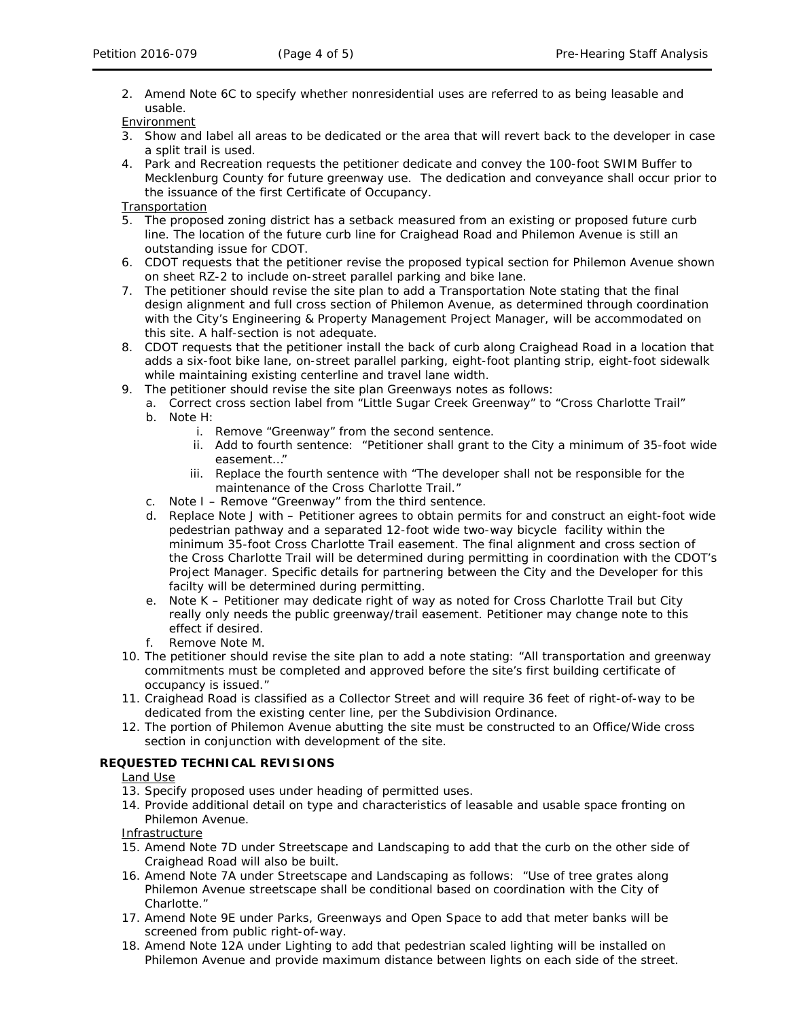2. Amend Note 6C to specify whether nonresidential uses are referred to as being leasable and usable.

**Environment** 

- 3. Show and label all areas to be dedicated or the area that will revert back to the developer in case a split trail is used.
- 4. Park and Recreation requests the petitioner dedicate and convey the 100-foot SWIM Buffer to Mecklenburg County for future greenway use. The dedication and conveyance shall occur prior to the issuance of the first Certificate of Occupancy.

Transportation

- 5. The proposed zoning district has a setback measured from an existing or proposed future curb line. The location of the future curb line for Craighead Road and Philemon Avenue is still an outstanding issue for CDOT.
- 6. CDOT requests that the petitioner revise the proposed typical section for Philemon Avenue shown on sheet RZ-2 to include on-street parallel parking and bike lane.
- 7. The petitioner should revise the site plan to add a Transportation Note stating that the final design alignment and full cross section of Philemon Avenue, as determined through coordination with the City's Engineering & Property Management Project Manager, will be accommodated on this site. A half-section is not adequate.
- 8. CDOT requests that the petitioner install the back of curb along Craighead Road in a location that adds a six-foot bike lane, on-street parallel parking, eight-foot planting strip, eight-foot sidewalk while maintaining existing centerline and travel lane width.
- 9. The petitioner should revise the site plan Greenways notes as follows:
	- a. Correct cross section label from "Little Sugar Creek Greenway" to "Cross Charlotte Trail"
	- b. Note H:
		- i. Remove "Greenway" from the second sentence.
		- ii. Add to fourth sentence: "Petitioner shall grant to the City a minimum of 35-foot wide easement…"
		- iii. Replace the fourth sentence with "The developer shall not be responsible for the maintenance of the Cross Charlotte Trail."
	- c. Note I Remove "Greenway" from the third sentence.
	- d. Replace Note J with Petitioner agrees to obtain permits for and construct an eight-foot wide pedestrian pathway and a separated 12-foot wide two-way bicycle facility within the minimum 35-foot Cross Charlotte Trail easement. The final alignment and cross section of the Cross Charlotte Trail will be determined during permitting in coordination with the CDOT's Project Manager. Specific details for partnering between the City and the Developer for this facilty will be determined during permitting.
	- e. Note K Petitioner may dedicate right of way as noted for Cross Charlotte Trail but City really only needs the public greenway/trail easement. Petitioner may change note to this effect if desired.
	- f. Remove Note M.
- 10. The petitioner should revise the site plan to add a note stating: "All transportation and greenway commitments must be completed and approved before the site's first building certificate of occupancy is issued."
- 11. Craighead Road is classified as a Collector Street and will require 36 feet of right-of-way to be dedicated from the existing center line, per the Subdivision Ordinance.
- 12. The portion of Philemon Avenue abutting the site must be constructed to an Office/Wide cross section in conjunction with development of the site.

# **REQUESTED TECHNICAL REVISIONS**

Land Use

- 13. Specify proposed uses under heading of permitted uses.
- 14. Provide additional detail on type and characteristics of leasable and usable space fronting on Philemon Avenue.

Infrastructure

- 15. Amend Note 7D under Streetscape and Landscaping to add that the curb on the other side of Craighead Road will also be built.
- 16. Amend Note 7A under Streetscape and Landscaping as follows: "Use of tree grates along Philemon Avenue streetscape shall be conditional based on coordination with the City of Charlotte."
- 17. Amend Note 9E under Parks, Greenways and Open Space to add that meter banks will be screened from public right-of-way.
- 18. Amend Note 12A under Lighting to add that pedestrian scaled lighting will be installed on Philemon Avenue and provide maximum distance between lights on each side of the street.